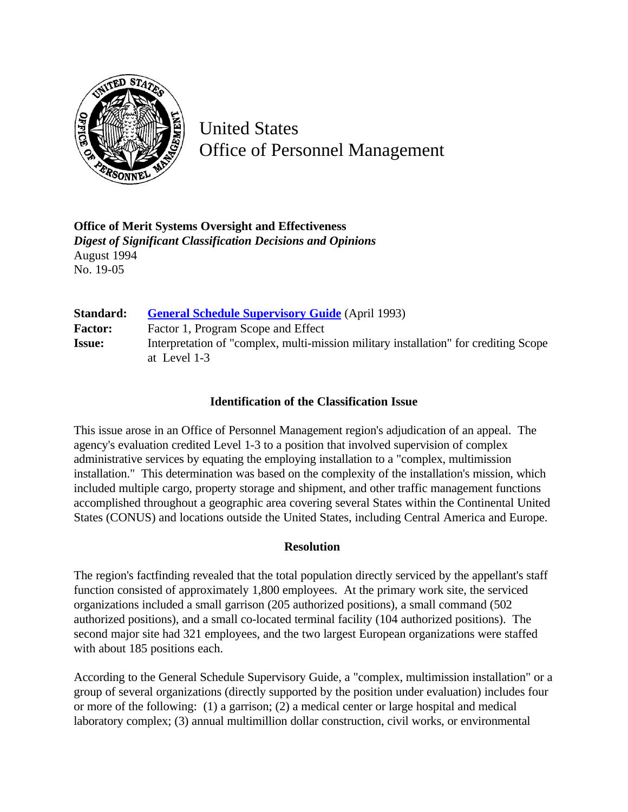

United States Office of Personnel Management

**Office of Merit Systems Oversight and Effectiveness** *Digest of Significant Classification Decisions and Opinions* August 1994 No. 19-05

| Standard:      | <b>General Schedule Supervisory Guide</b> (April 1993)                                               |
|----------------|------------------------------------------------------------------------------------------------------|
| <b>Factor:</b> | Factor 1, Program Scope and Effect                                                                   |
| <b>Issue:</b>  | Interpretation of "complex, multi-mission military installation" for crediting Scope<br>at Level 1-3 |

## **Identification of the Classification Issue**

This issue arose in an Office of Personnel Management region's adjudication of an appeal. The agency's evaluation credited Level 1-3 to a position that involved supervision of complex administrative services by equating the employing installation to a "complex, multimission installation." This determination was based on the complexity of the installation's mission, which included multiple cargo, property storage and shipment, and other traffic management functions accomplished throughout a geographic area covering several States within the Continental United States (CONUS) and locations outside the United States, including Central America and Europe.

## **Resolution**

The region's factfinding revealed that the total population directly serviced by the appellant's staff function consisted of approximately 1,800 employees. At the primary work site, the serviced organizations included a small garrison (205 authorized positions), a small command (502 authorized positions), and a small co-located terminal facility (104 authorized positions). The second major site had 321 employees, and the two largest European organizations were staffed with about 185 positions each.

According to the General Schedule Supervisory Guide, a "complex, multimission installation" or a group of several organizations (directly supported by the position under evaluation) includes four or more of the following: (1) a garrison; (2) a medical center or large hospital and medical laboratory complex; (3) annual multimillion dollar construction, civil works, or environmental